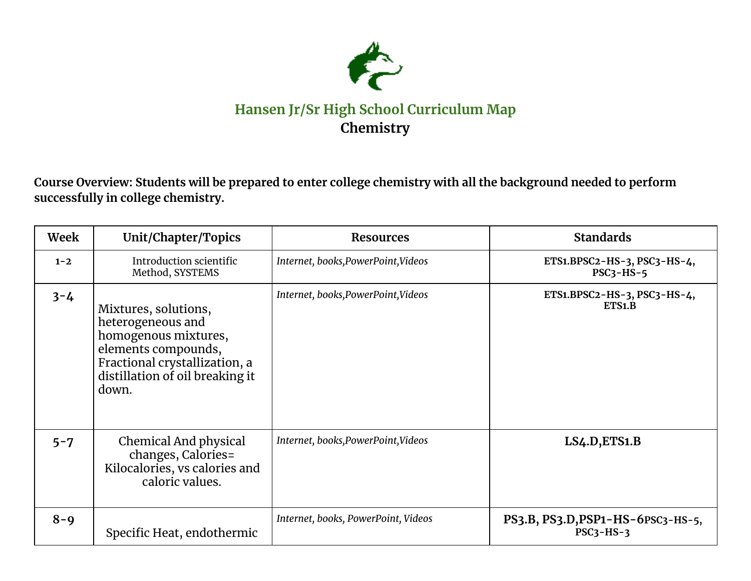

## **Hansen Jr/Sr High School Curriculum Map Chemistry**

Course Overview: Students will be prepared to enter college chemistry with all the background needed to perform **successfully in college chemistry.**

| Week    | Unit/Chapter/Topics                                                                                                                                                   | <b>Resources</b>                    | <b>Standards</b>                                 |
|---------|-----------------------------------------------------------------------------------------------------------------------------------------------------------------------|-------------------------------------|--------------------------------------------------|
| $1 - 2$ | Introduction scientific<br>Method, SYSTEMS                                                                                                                            | Internet, books, PowerPoint, Videos | ETS1.BPSC2-HS-3, PSC3-HS-4,<br>$PSC3-HS-5$       |
| $3 - 4$ | Mixtures, solutions,<br>heterogeneous and<br>homogenous mixtures,<br>elements compounds,<br>Fractional crystallization, a<br>distillation of oil breaking it<br>down. | Internet, books, PowerPoint, Videos | ETS1.BPSC2-HS-3, PSC3-HS-4,<br>ETS1.B            |
| $5 - 7$ | Chemical And physical<br>changes, Calories=<br>Kilocalories, vs calories and<br>caloric values.                                                                       | Internet, books, PowerPoint, Videos | LS4.D, ETS1.B                                    |
| $8 - 9$ | Specific Heat, endothermic                                                                                                                                            | Internet, books, PowerPoint, Videos | PS3.B, PS3.D, PSP1-HS-6PSC3-HS-5,<br>$PSC3-HS-3$ |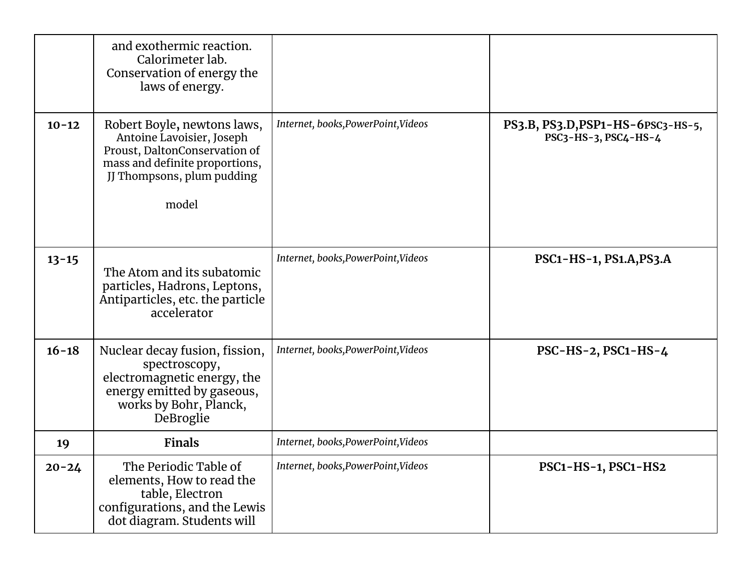|           | and exothermic reaction.<br>Calorimeter lab.<br>Conservation of energy the<br>laws of energy.                                                                      |                                     |                                                           |
|-----------|--------------------------------------------------------------------------------------------------------------------------------------------------------------------|-------------------------------------|-----------------------------------------------------------|
| $10 - 12$ | Robert Boyle, newtons laws,<br>Antoine Lavoisier, Joseph<br>Proust, DaltonConservation of<br>mass and definite proportions,<br>JJ Thompsons, plum pudding<br>model | Internet, books, PowerPoint, Videos | PS3.B, PS3.D, PSP1-HS-6PSC3-HS-5,<br>PSC3-HS-3, PSC4-HS-4 |
| $13 - 15$ | The Atom and its subatomic<br>particles, Hadrons, Leptons,<br>Antiparticles, etc. the particle<br>accelerator                                                      | Internet, books, PowerPoint, Videos | PSC1-HS-1, PS1.A, PS3.A                                   |
| $16 - 18$ | Nuclear decay fusion, fission,<br>spectroscopy,<br>electromagnetic energy, the<br>energy emitted by gaseous,<br>works by Bohr, Planck,<br>DeBroglie                | Internet, books, PowerPoint, Videos | $PSC-HS-2, PSC1-HS-4$                                     |
| 19        | <b>Finals</b>                                                                                                                                                      | Internet, books, PowerPoint, Videos |                                                           |
| $20 - 24$ | The Periodic Table of<br>elements, How to read the<br>table, Electron<br>configurations, and the Lewis<br>dot diagram. Students will                               | Internet, books, PowerPoint, Videos | PSC1-HS-1, PSC1-HS2                                       |